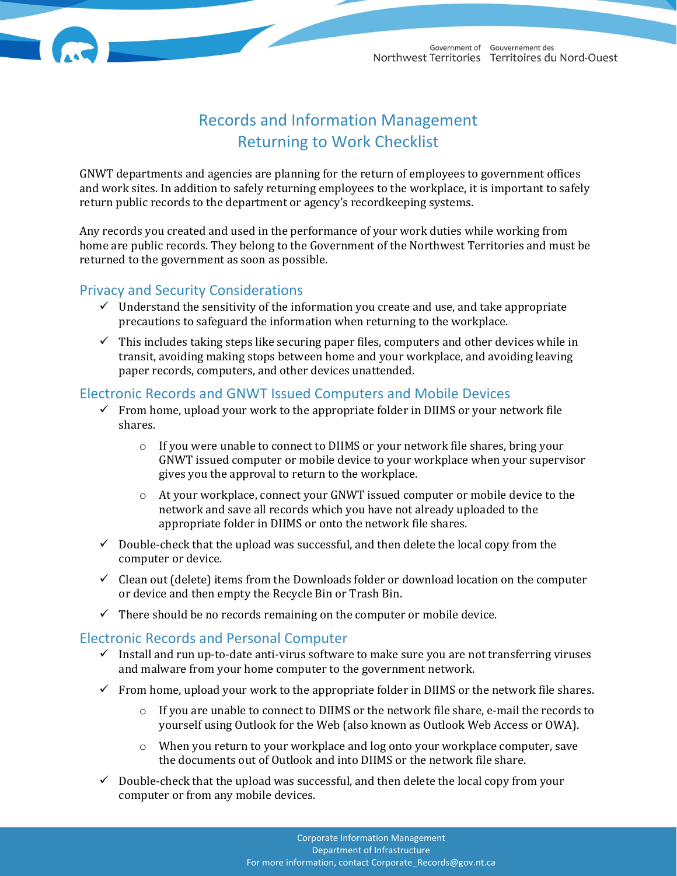# Records and Information Management Returning to Work Checklist

GNWT departments and agencies are planning for the return of employees to government offices and work sites. In addition to safely returning employees to the workplace, it is important to safely return public records to the department or agency's recordkeeping systems. 

Any records you created and used in the performance of your work duties while working from home are public records. They belong to the Government of the Northwest Territories and must be returned to the government as soon as possible.

# Privacy and Security Considerations

- $\checkmark$  Understand the sensitivity of the information you create and use, and take appropriate precautions to safeguard the information when returning to the workplace.
- $\checkmark$  This includes taking steps like securing paper files, computers and other devices while in transit, avoiding making stops between home and your workplace, and avoiding leaving paper records, computers, and other devices unattended.

# Electronic Records and GNWT Issued Computers and Mobile Devices

- $\checkmark$  From home, upload your work to the appropriate folder in DIIMS or your network file shares.
	- $\circ$  If you were unable to connect to DIIMS or your network file shares, bring your GNWT issued computer or mobile device to your workplace when your supervisor gives you the approval to return to the workplace.
	- o At your workplace, connect your GNWT issued computer or mobile device to the network and save all records which you have not already uploaded to the appropriate folder in DIIMS or onto the network file shares.
- $\checkmark$  Double-check that the upload was successful, and then delete the local copy from the computer or device.
- $\checkmark$  Clean out (delete) items from the Downloads folder or download location on the computer or device and then empty the Recycle Bin or Trash Bin.
- $\checkmark$  There should be no records remaining on the computer or mobile device.

## Electronic Records and Personal Computer

- Install and run up‐to‐date anti‐virus software to make sure you are not transferring viruses and malware from your home computer to the government network.
- $\checkmark$  From home, upload your work to the appropriate folder in DIIMS or the network file shares.
	- o If you are unable to connect to DIIMS or the network file share, e‐mail the records to yourself using Outlook for the Web (also known as Outlook Web Access or OWA).
	- o When you return to your workplace and log onto your workplace computer, save the documents out of Outlook and into DIIMS or the network file share.
- $\checkmark$  Double-check that the upload was successful, and then delete the local copy from your computer or from any mobile devices.